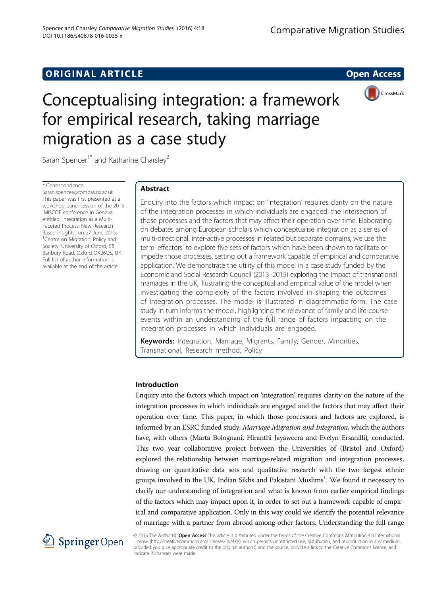## **ORIGINAL ARTICLE CONSERVANCE IN A LOCAL CONSERVANCE IN A LOCAL CONSERVANCE IN A LOCAL CONSERVANCE IN A LOCAL CONSERVANCE IN A LOCAL CONSERVANCE IN A LOCAL CONSERVANCE IN A LOCAL CONSERVANCE IN A LOCAL CONSERVANCE IN A L**



# Conceptualising integration: a framework for empirical research, taking marriage migration as a case study

Sarah Spencer<sup>1\*</sup> and Katharine Charsley<sup>2</sup>

\* Correspondence: [Sarah.spencer@compas.ox.ac.uk](mailto:Sarah.spencer@compas.ox.ac.uk) This paper was first presented at a workshop panel session of the 2015 IMISCOE conference in Geneva, entitled 'Integration as a Multi-Faceted Process: New Research Based Insights', on 27 June 2015. <sup>1</sup> Centre on Migration, Policy and Society, University of Oxford, 58 Banbury Road, Oxford OX26QS, UK Full list of author information is available at the end of the article

## Abstract

Enquiry into the factors which impact on 'integration' requires clarity on the nature of the integration processes in which individuals are engaged, the intersection of those processes and the factors that may affect their operation over time. Elaborating on debates among European scholars which conceptualise integration as a series of multi-directional, inter-active processes in related but separate domains, we use the term 'effectors' to explore five sets of factors which have been shown to facilitate or impede those processes, setting out a framework capable of empirical and comparative application. We demonstrate the utility of this model in a case study funded by the Economic and Social Research Council (2013–2015) exploring the impact of transnational marriages in the UK, illustrating the conceptual and empirical value of the model when investigating the complexity of the factors involved in shaping the outcomes of integration processes. The model is illustrated in diagrammatic form. The case study in turn informs the model, highlighting the relevance of family and life-course events within an understanding of the full range of factors impacting on the integration processes in which individuals are engaged.

Keywords: Integration, Marriage, Migrants, Family, Gender, Minorities, Transnational, Research method, Policy

## Introduction

Enquiry into the factors which impact on 'integration' requires clarity on the nature of the integration processes in which individuals are engaged and the factors that may affect their operation over time. This paper, in which those processors and factors are explored, is informed by an ESRC funded study, Marriage Migration and Integration, which the authors have, with others (Marta Bolognani, Hiranthi Jayaweera and Evelyn Ersanilli), conducted. This two year collaborative project between the Universities of (Bristol and Oxford) explored the relationship between marriage-related migration and integration processes, drawing on quantitative data sets and qualitative research with the two largest ethnic groups involved in the UK, Indian Sikhs and Pakistani Muslims<sup>1</sup>. We found it necessary to clarify our understanding of integration and what is known from earlier empirical findings of the factors which may impact upon it, in order to set out a framework capable of empirical and comparative application. Only in this way could we identify the potential relevance of marriage with a partner from abroad among other factors. Understanding the full range



© 2016 The Author(s). Open Access This article is distributed under the terms of the Creative Commons Attribution 4.0 International License [\(http://creativecommons.org/licenses/by/4.0/](http://creativecommons.org/licenses/by/4.0/)), which permits unrestricted use, distribution, and reproduction in any medium, provided you give appropriate credit to the original author(s) and the source, provide a link to the Creative Commons license, and indicate if changes were made.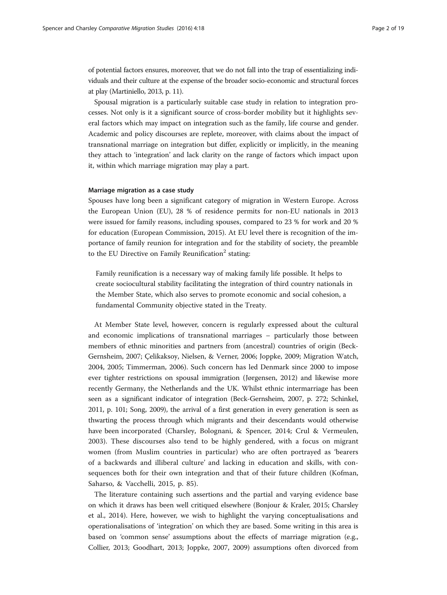of potential factors ensures, moreover, that we do not fall into the trap of essentializing individuals and their culture at the expense of the broader socio-economic and structural forces at play (Martiniello, [2013,](#page-17-0) p. 11).

Spousal migration is a particularly suitable case study in relation to integration processes. Not only is it a significant source of cross-border mobility but it highlights several factors which may impact on integration such as the family, life course and gender. Academic and policy discourses are replete, moreover, with claims about the impact of transnational marriage on integration but differ, explicitly or implicitly, in the meaning they attach to 'integration' and lack clarity on the range of factors which impact upon it, within which marriage migration may play a part.

## Marriage migration as a case study

Spouses have long been a significant category of migration in Western Europe. Across the European Union (EU), 28 % of residence permits for non-EU nationals in 2013 were issued for family reasons, including spouses, compared to 23 % for work and 20 % for education (European Commission, [2015](#page-16-0)). At EU level there is recognition of the importance of family reunion for integration and for the stability of society, the preamble to the EU Directive on Family Reunification<sup>2</sup> stating:

Family reunification is a necessary way of making family life possible. It helps to create sociocultural stability facilitating the integration of third country nationals in the Member State, which also serves to promote economic and social cohesion, a fundamental Community objective stated in the Treaty.

At Member State level, however, concern is regularly expressed about the cultural and economic implications of transnational marriages – particularly those between members of ethnic minorities and partners from (ancestral) countries of origin (Beck-Gernsheim, [2007;](#page-16-0) Çelikaksoy, Nielsen, & Verner, [2006;](#page-16-0) Joppke, [2009](#page-17-0); Migration Watch, [2004](#page-17-0), [2005;](#page-17-0) Timmerman, [2006](#page-18-0)). Such concern has led Denmark since 2000 to impose ever tighter restrictions on spousal immigration (Jørgensen, [2012](#page-17-0)) and likewise more recently Germany, the Netherlands and the UK. Whilst ethnic intermarriage has been seen as a significant indicator of integration (Beck-Gernsheim, [2007,](#page-16-0) p. 272; Schinkel, [2011,](#page-17-0) p. 101; Song, [2009](#page-18-0)), the arrival of a first generation in every generation is seen as thwarting the process through which migrants and their descendants would otherwise have been incorporated (Charsley, Bolognani, & Spencer, [2014;](#page-16-0) Crul & Vermeulen, [2003\)](#page-16-0). These discourses also tend to be highly gendered, with a focus on migrant women (from Muslim countries in particular) who are often portrayed as 'bearers of a backwards and illiberal culture' and lacking in education and skills, with consequences both for their own integration and that of their future children (Kofman, Saharso, & Vacchelli, [2015,](#page-17-0) p. 85).

The literature containing such assertions and the partial and varying evidence base on which it draws has been well critiqued elsewhere (Bonjour & Kraler, [2015;](#page-16-0) Charsley et al., [2014\)](#page-16-0). Here, however, we wish to highlight the varying conceptualisations and operationalisations of 'integration' on which they are based. Some writing in this area is based on 'common sense' assumptions about the effects of marriage migration (e.g., Collier, [2013;](#page-16-0) Goodhart, [2013;](#page-17-0) Joppke, [2007, 2009\)](#page-17-0) assumptions often divorced from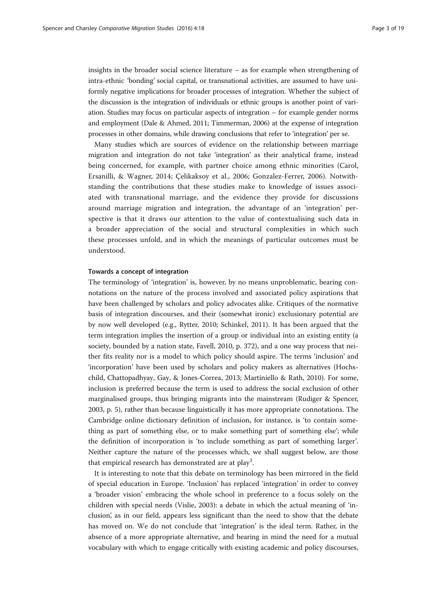insights in the broader social science literature – as for example when strengthening of intra-ethnic 'bonding' social capital, or transnational activities, are assumed to have uniformly negative implications for broader processes of integration. Whether the subject of the discussion is the integration of individuals or ethnic groups is another point of variation. Studies may focus on particular aspects of integration – for example gender norms and employment (Dale & Ahmed, [2011](#page-16-0); Timmerman, [2006\)](#page-18-0) at the expense of integration processes in other domains, while drawing conclusions that refer to 'integration' per se.

Many studies which are sources of evidence on the relationship between marriage migration and integration do not take 'integration' as their analytical frame, instead being concerned, for example, with partner choice among ethnic minorities (Carol, Ersanilli, & Wagner, [2014;](#page-16-0) Çelikaksoy et al., [2006;](#page-16-0) Gonzalez-Ferrer, [2006](#page-16-0)). Notwithstanding the contributions that these studies make to knowledge of issues associated with transnational marriage, and the evidence they provide for discussions around marriage migration and integration, the advantage of an 'integration' perspective is that it draws our attention to the value of contextualising such data in a broader appreciation of the social and structural complexities in which such these processes unfold, and in which the meanings of particular outcomes must be understood.

## Towards a concept of integration

The terminology of 'integration' is, however, by no means unproblematic, bearing connotations on the nature of the process involved and associated policy aspirations that have been challenged by scholars and policy advocates alike. Critiques of the normative basis of integration discourses, and their (somewhat ironic) exclusionary potential are by now well developed (e.g., Rytter, [2010](#page-17-0); Schinkel, [2011](#page-17-0)). It has been argued that the term integration implies the insertion of a group or individual into an existing entity (a society, bounded by a nation state, Favell, [2010,](#page-16-0) p. 372), and a one way process that neither fits reality nor is a model to which policy should aspire. The terms 'inclusion' and 'incorporation' have been used by scholars and policy makers as alternatives (Hochschild, Chattopadhyay, Gay, & Jones-Correa, [2013;](#page-17-0) Martiniello & Rath, [2010](#page-17-0)). For some, inclusion is preferred because the term is used to address the social exclusion of other marginalised groups, thus bringing migrants into the mainstream (Rudiger & Spencer, [2003](#page-17-0), p. 5), rather than because linguistically it has more appropriate connotations. The Cambridge online dictionary definition of inclusion, for instance, is 'to contain something as part of something else, or to make something part of something else'; while the definition of incorporation is 'to include something as part of something larger'. Neither capture the nature of the processes which, we shall suggest below, are those that empirical research has demonstrated are at play<sup>3</sup>.

It is interesting to note that this debate on terminology has been mirrored in the field of special education in Europe. 'Inclusion' has replaced 'integration' in order to convey a 'broader vision' embracing the whole school in preference to a focus solely on the children with special needs (Vislie, [2003](#page-18-0)): a debate in which the actual meaning of 'inclusion', as in our field, appears less significant than the need to show that the debate has moved on. We do not conclude that 'integration' is the ideal term. Rather, in the absence of a more appropriate alternative, and bearing in mind the need for a mutual vocabulary with which to engage critically with existing academic and policy discourses,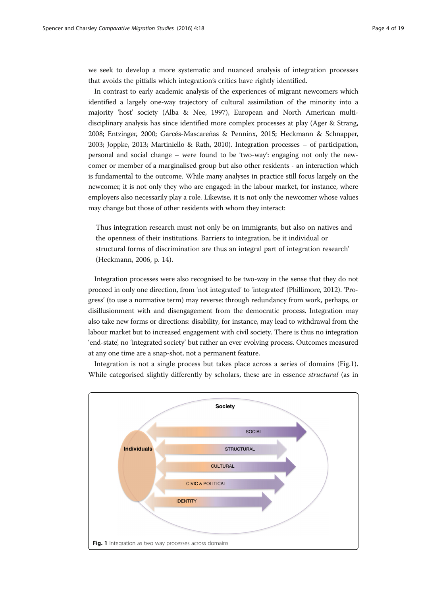we seek to develop a more systematic and nuanced analysis of integration processes that avoids the pitfalls which integration's critics have rightly identified.

In contrast to early academic analysis of the experiences of migrant newcomers which identified a largely one-way trajectory of cultural assimilation of the minority into a majority 'host' society (Alba & Nee, [1997\)](#page-16-0), European and North American multidisciplinary analysis has since identified more complex processes at play (Ager & Strang, [2008;](#page-16-0) Entzinger, [2000](#page-16-0); Garcés-Mascareñas & Penninx, [2015;](#page-16-0) Heckmann & Schnapper, [2003;](#page-17-0) Joppke, [2013](#page-17-0); Martiniello & Rath, [2010\)](#page-17-0). Integration processes – of participation, personal and social change – were found to be 'two-way': engaging not only the newcomer or member of a marginalised group but also other residents - an interaction which is fundamental to the outcome. While many analyses in practice still focus largely on the newcomer, it is not only they who are engaged: in the labour market, for instance, where employers also necessarily play a role. Likewise, it is not only the newcomer whose values may change but those of other residents with whom they interact:

Thus integration research must not only be on immigrants, but also on natives and the openness of their institutions. Barriers to integration, be it individual or structural forms of discrimination are thus an integral part of integration research' (Heckmann, [2006](#page-17-0), p. 14).

Integration processes were also recognised to be two-way in the sense that they do not proceed in only one direction, from 'not integrated' to 'integrated' (Phillimore, [2012](#page-17-0)). 'Progress' (to use a normative term) may reverse: through redundancy from work, perhaps, or disillusionment with and disengagement from the democratic process. Integration may also take new forms or directions: disability, for instance, may lead to withdrawal from the labour market but to increased engagement with civil society. There is thus no integration 'end-state', no 'integrated society' but rather an ever evolving process. Outcomes measured at any one time are a snap-shot, not a permanent feature.

Integration is not a single process but takes place across a series of domains (Fig.1). While categorised slightly differently by scholars, these are in essence *structural* (as in

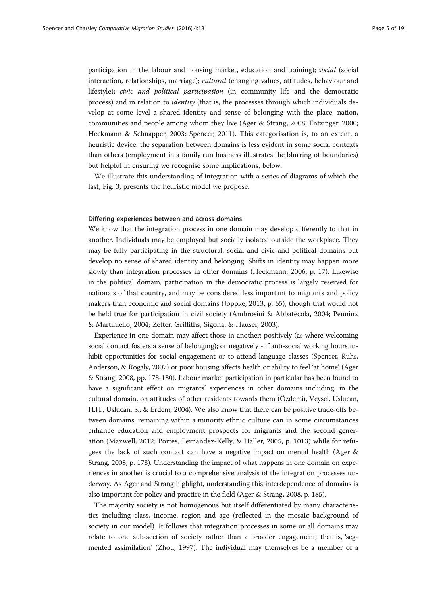participation in the labour and housing market, education and training); social (social interaction, relationships, marriage); *cultural* (changing values, attitudes, behaviour and lifestyle); civic and political participation (in community life and the democratic process) and in relation to identity (that is, the processes through which individuals develop at some level a shared identity and sense of belonging with the place, nation, communities and people among whom they live (Ager & Strang, [2008;](#page-16-0) Entzinger, [2000](#page-16-0); Heckmann & Schnapper, [2003;](#page-17-0) Spencer, [2011\)](#page-18-0). This categorisation is, to an extent, a heuristic device: the separation between domains is less evident in some social contexts than others (employment in a family run business illustrates the blurring of boundaries) but helpful in ensuring we recognise some implications, below.

We illustrate this understanding of integration with a series of diagrams of which the last, Fig. [3](#page-6-0), presents the heuristic model we propose.

## Differing experiences between and across domains

We know that the integration process in one domain may develop differently to that in another. Individuals may be employed but socially isolated outside the workplace. They may be fully participating in the structural, social and civic and political domains but develop no sense of shared identity and belonging. Shifts in identity may happen more slowly than integration processes in other domains (Heckmann, [2006](#page-17-0), p. 17). Likewise in the political domain, participation in the democratic process is largely reserved for nationals of that country, and may be considered less important to migrants and policy makers than economic and social domains (Joppke, [2013](#page-17-0), p. 65), though that would not be held true for participation in civil society (Ambrosini & Abbatecola, [2004](#page-16-0); Penninx & Martiniello, [2004;](#page-17-0) Zetter, Griffiths, Sigona, & Hauser, [2003](#page-18-0)).

Experience in one domain may affect those in another: positively (as where welcoming social contact fosters a sense of belonging); or negatively - if anti-social working hours inhibit opportunities for social engagement or to attend language classes (Spencer, Ruhs, Anderson, & Rogaly, [2007](#page-18-0)) or poor housing affects health or ability to feel 'at home' (Ager & Strang, [2008,](#page-16-0) pp. 178-180). Labour market participation in particular has been found to have a significant effect on migrants' experiences in other domains including, in the cultural domain, on attitudes of other residents towards them (Özdemir, Veysel, Uslucan, H.H., Uslucan, S., & Erdem, [2004](#page-17-0)). We also know that there can be positive trade-offs between domains: remaining within a minority ethnic culture can in some circumstances enhance education and employment prospects for migrants and the second generation (Maxwell, [2012;](#page-17-0) Portes, Fernandez-Kelly, & Haller, [2005,](#page-17-0) p. 1013) while for refugees the lack of such contact can have a negative impact on mental health (Ager & Strang, [2008,](#page-16-0) p. 178). Understanding the impact of what happens in one domain on experiences in another is crucial to a comprehensive analysis of the integration processes underway. As Ager and Strang highlight, understanding this interdependence of domains is also important for policy and practice in the field (Ager & Strang, [2008,](#page-16-0) p. 185).

The majority society is not homogenous but itself differentiated by many characteristics including class, income, region and age (reflected in the mosaic background of society in our model). It follows that integration processes in some or all domains may relate to one sub-section of society rather than a broader engagement; that is, 'segmented assimilation' (Zhou, [1997\)](#page-18-0). The individual may themselves be a member of a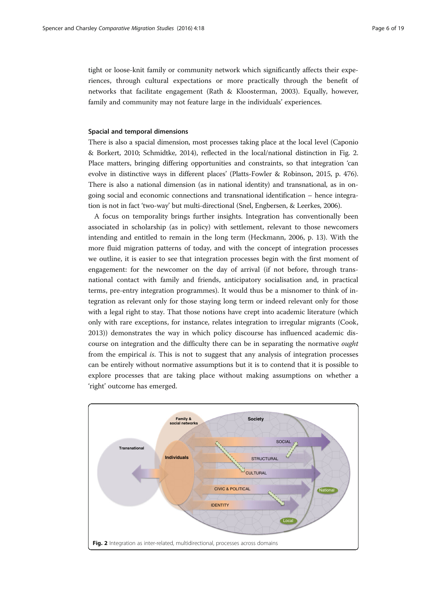tight or loose-knit family or community network which significantly affects their experiences, through cultural expectations or more practically through the benefit of networks that facilitate engagement (Rath & Kloosterman, [2003](#page-17-0)). Equally, however, family and community may not feature large in the individuals' experiences.

## Spacial and temporal dimensions

There is also a spacial dimension, most processes taking place at the local level (Caponio & Borkert, [2010;](#page-16-0) Schmidtke, [2014\)](#page-17-0), reflected in the local/national distinction in Fig. 2. Place matters, bringing differing opportunities and constraints, so that integration 'can evolve in distinctive ways in different places' (Platts-Fowler & Robinson, [2015,](#page-17-0) p. 476). There is also a national dimension (as in national identity) and transnational, as in ongoing social and economic connections and transnational identification – hence integration is not in fact 'two-way' but multi-directional (Snel, Engbersen, & Leerkes, [2006](#page-17-0)).

A focus on temporality brings further insights. Integration has conventionally been associated in scholarship (as in policy) with settlement, relevant to those newcomers intending and entitled to remain in the long term (Heckmann, [2006](#page-17-0), p. 13). With the more fluid migration patterns of today, and with the concept of integration processes we outline, it is easier to see that integration processes begin with the first moment of engagement: for the newcomer on the day of arrival (if not before, through transnational contact with family and friends, anticipatory socialisation and, in practical terms, pre-entry integration programmes). It would thus be a misnomer to think of integration as relevant only for those staying long term or indeed relevant only for those with a legal right to stay. That those notions have crept into academic literature (which only with rare exceptions, for instance, relates integration to irregular migrants (Cook, [2013](#page-16-0))) demonstrates the way in which policy discourse has influenced academic discourse on integration and the difficulty there can be in separating the normative *ought* from the empirical is. This is not to suggest that any analysis of integration processes can be entirely without normative assumptions but it is to contend that it is possible to explore processes that are taking place without making assumptions on whether a 'right' outcome has emerged.

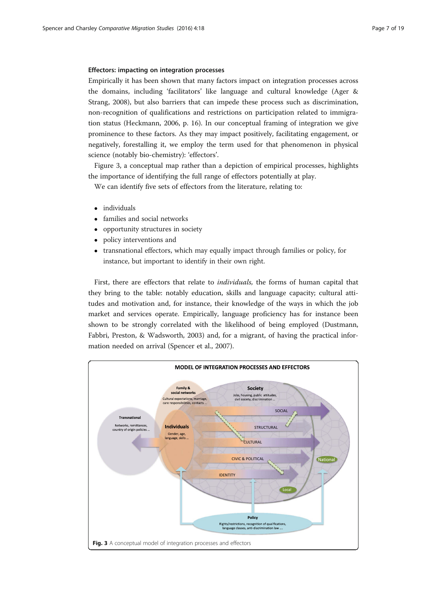### <span id="page-6-0"></span>Effectors: impacting on integration processes

Empirically it has been shown that many factors impact on integration processes across the domains, including 'facilitators' like language and cultural knowledge (Ager & Strang, [2008\)](#page-16-0), but also barriers that can impede these process such as discrimination, non-recognition of qualifications and restrictions on participation related to immigration status (Heckmann, [2006](#page-17-0), p. 16). In our conceptual framing of integration we give prominence to these factors. As they may impact positively, facilitating engagement, or negatively, forestalling it, we employ the term used for that phenomenon in physical science (notably bio-chemistry): 'effectors'.

Figure 3, a conceptual map rather than a depiction of empirical processes, highlights the importance of identifying the full range of effectors potentially at play.

We can identify five sets of effectors from the literature, relating to:

- individuals
- families and social networks
- opportunity structures in society
- policy interventions and
- transnational effectors, which may equally impact through families or policy, for instance, but important to identify in their own right.

First, there are effectors that relate to *individuals*, the forms of human capital that they bring to the table: notably education, skills and language capacity; cultural attitudes and motivation and, for instance, their knowledge of the ways in which the job market and services operate. Empirically, language proficiency has for instance been shown to be strongly correlated with the likelihood of being employed (Dustmann, Fabbri, Preston, & Wadsworth, [2003](#page-16-0)) and, for a migrant, of having the practical information needed on arrival (Spencer et al., [2007\)](#page-18-0).

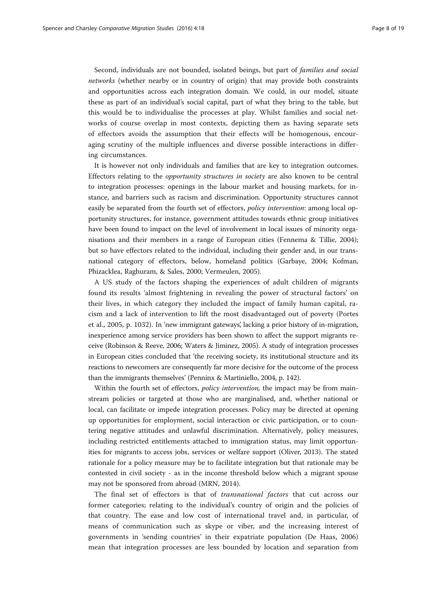Second, individuals are not bounded, isolated beings, but part of families and social networks (whether nearby or in country of origin) that may provide both constraints and opportunities across each integration domain. We could, in our model, situate these as part of an individual's social capital, part of what they bring to the table, but this would be to individualise the processes at play. Whilst families and social networks of course overlap in most contexts, depicting them as having separate sets of effectors avoids the assumption that their effects will be homogenous, encouraging scrutiny of the multiple influences and diverse possible interactions in differing circumstances.

It is however not only individuals and families that are key to integration outcomes. Effectors relating to the opportunity structures in society are also known to be central to integration processes: openings in the labour market and housing markets, for instance, and barriers such as racism and discrimination. Opportunity structures cannot easily be separated from the fourth set of effectors, policy intervention: among local opportunity structures, for instance, government attitudes towards ethnic group initiatives have been found to impact on the level of involvement in local issues of minority organisations and their members in a range of European cities (Fennema & Tillie, [2004](#page-16-0)); but so have effectors related to the individual, including their gender and, in our transnational category of effectors, below, homeland politics (Garbaye, [2004;](#page-16-0) Kofman, Phizacklea, Raghuram, & Sales, [2000](#page-17-0); Vermeulen, [2005](#page-18-0)).

A US study of the factors shaping the experiences of adult children of migrants found its results 'almost frightening in revealing the power of structural factors' on their lives, in which category they included the impact of family human capital, racism and a lack of intervention to lift the most disadvantaged out of poverty (Portes et al., [2005,](#page-17-0) p. 1032). In 'new immigrant gateways', lacking a prior history of in-migration, inexperience among service providers has been shown to affect the support migrants receive (Robinson & Reeve, [2006;](#page-17-0) Waters & Jiminez, [2005](#page-18-0)). A study of integration processes in European cities concluded that 'the receiving society, its institutional structure and its reactions to newcomers are consequently far more decisive for the outcome of the process than the immigrants themselves' (Penninx & Martiniello, [2004,](#page-17-0) p. 142).

Within the fourth set of effectors, *policy intervention*, the impact may be from mainstream policies or targeted at those who are marginalised, and, whether national or local, can facilitate or impede integration processes. Policy may be directed at opening up opportunities for employment, social interaction or civic participation, or to countering negative attitudes and unlawful discrimination. Alternatively, policy measures, including restricted entitlements attached to immigration status, may limit opportunities for migrants to access jobs, services or welfare support (Oliver, [2013\)](#page-17-0). The stated rationale for a policy measure may be to facilitate integration but that rationale may be contested in civil society - as in the income threshold below which a migrant spouse may not be sponsored from abroad (MRN, [2014](#page-17-0)).

The final set of effectors is that of transnational factors that cut across our former categories; relating to the individual's country of origin and the policies of that country. The ease and low cost of international travel and, in particular, of means of communication such as skype or viber, and the increasing interest of governments in 'sending countries' in their expatriate population (De Haas, [2006](#page-16-0)) mean that integration processes are less bounded by location and separation from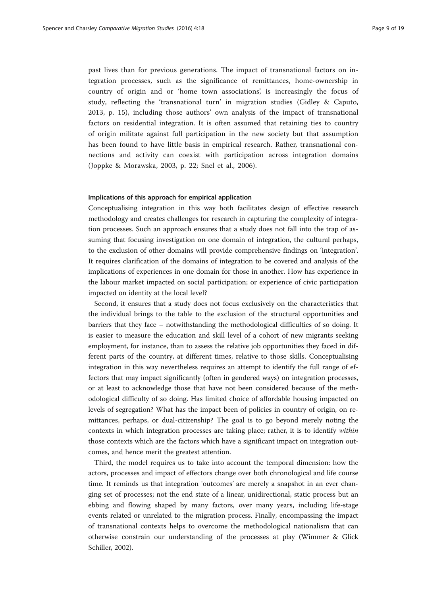past lives than for previous generations. The impact of transnational factors on integration processes, such as the significance of remittances, home-ownership in country of origin and or 'home town associations', is increasingly the focus of study, reflecting the 'transnational turn' in migration studies (Gidley & Caputo, [2013,](#page-16-0) p. 15), including those authors' own analysis of the impact of transnational factors on residential integration. It is often assumed that retaining ties to country of origin militate against full participation in the new society but that assumption has been found to have little basis in empirical research. Rather, transnational connections and activity can coexist with participation across integration domains (Joppke & Morawska, [2003](#page-17-0), p. 22; Snel et al., [2006\)](#page-17-0).

## Implications of this approach for empirical application

Conceptualising integration in this way both facilitates design of effective research methodology and creates challenges for research in capturing the complexity of integration processes. Such an approach ensures that a study does not fall into the trap of assuming that focusing investigation on one domain of integration, the cultural perhaps, to the exclusion of other domains will provide comprehensive findings on 'integration'. It requires clarification of the domains of integration to be covered and analysis of the implications of experiences in one domain for those in another. How has experience in the labour market impacted on social participation; or experience of civic participation impacted on identity at the local level?

Second, it ensures that a study does not focus exclusively on the characteristics that the individual brings to the table to the exclusion of the structural opportunities and barriers that they face – notwithstanding the methodological difficulties of so doing. It is easier to measure the education and skill level of a cohort of new migrants seeking employment, for instance, than to assess the relative job opportunities they faced in different parts of the country, at different times, relative to those skills. Conceptualising integration in this way nevertheless requires an attempt to identify the full range of effectors that may impact significantly (often in gendered ways) on integration processes, or at least to acknowledge those that have not been considered because of the methodological difficulty of so doing. Has limited choice of affordable housing impacted on levels of segregation? What has the impact been of policies in country of origin, on remittances, perhaps, or dual-citizenship? The goal is to go beyond merely noting the contexts in which integration processes are taking place; rather, it is to identify within those contexts which are the factors which have a significant impact on integration outcomes, and hence merit the greatest attention.

Third, the model requires us to take into account the temporal dimension: how the actors, processes and impact of effectors change over both chronological and life course time. It reminds us that integration 'outcomes' are merely a snapshot in an ever changing set of processes; not the end state of a linear, unidirectional, static process but an ebbing and flowing shaped by many factors, over many years, including life-stage events related or unrelated to the migration process. Finally, encompassing the impact of transnational contexts helps to overcome the methodological nationalism that can otherwise constrain our understanding of the processes at play (Wimmer & Glick Schiller, [2002](#page-18-0)).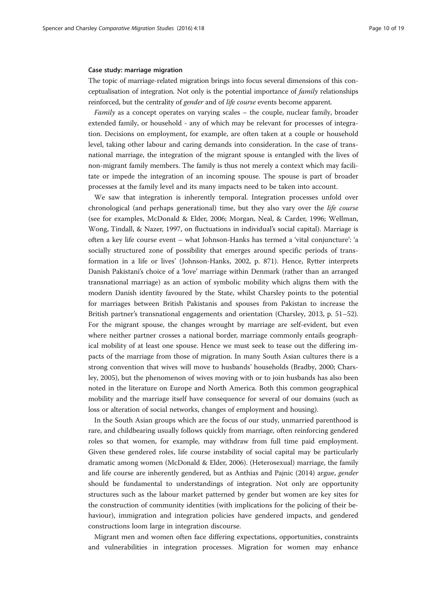#### Case study: marriage migration

The topic of marriage-related migration brings into focus several dimensions of this conceptualisation of integration. Not only is the potential importance of family relationships reinforced, but the centrality of gender and of life course events become apparent.

Family as a concept operates on varying scales – the couple, nuclear family, broader extended family, or household - any of which may be relevant for processes of integration. Decisions on employment, for example, are often taken at a couple or household level, taking other labour and caring demands into consideration. In the case of transnational marriage, the integration of the migrant spouse is entangled with the lives of non-migrant family members. The family is thus not merely a context which may facilitate or impede the integration of an incoming spouse. The spouse is part of broader processes at the family level and its many impacts need to be taken into account.

We saw that integration is inherently temporal. Integration processes unfold over chronological (and perhaps generational) time, but they also vary over the life course (see for examples, McDonald & Elder, [2006;](#page-17-0) Morgan, Neal, & Carder, [1996](#page-17-0); Wellman, Wong, Tindall, & Nazer, [1997,](#page-18-0) on fluctuations in individual's social capital). Marriage is often a key life course event – what Johnson-Hanks has termed a 'vital conjuncture': 'a socially structured zone of possibility that emerges around specific periods of transformation in a life or lives' (Johnson-Hanks, [2002](#page-17-0), p. 871). Hence, Rytter interprets Danish Pakistani's choice of a 'love' marriage within Denmark (rather than an arranged transnational marriage) as an action of symbolic mobility which aligns them with the modern Danish identity favoured by the State, whilst Charsley points to the potential for marriages between British Pakistanis and spouses from Pakistan to increase the British partner's transnational engagements and orientation (Charsley, [2013](#page-16-0), p. 51–52). For the migrant spouse, the changes wrought by marriage are self-evident, but even where neither partner crosses a national border, marriage commonly entails geographical mobility of at least one spouse. Hence we must seek to tease out the differing impacts of the marriage from those of migration. In many South Asian cultures there is a strong convention that wives will move to husbands' households (Bradby, [2000;](#page-16-0) Charsley, [2005\)](#page-16-0), but the phenomenon of wives moving with or to join husbands has also been noted in the literature on Europe and North America. Both this common geographical mobility and the marriage itself have consequence for several of our domains (such as loss or alteration of social networks, changes of employment and housing).

In the South Asian groups which are the focus of our study, unmarried parenthood is rare, and childbearing usually follows quickly from marriage, often reinforcing gendered roles so that women, for example, may withdraw from full time paid employment. Given these gendered roles, life course instability of social capital may be particularly dramatic among women (McDonald & Elder, [2006\)](#page-17-0). (Heterosexual) marriage, the family and life course are inherently gendered, but as Anthias and Pajnic [\(2014\)](#page-16-0) argue, gender should be fundamental to understandings of integration. Not only are opportunity structures such as the labour market patterned by gender but women are key sites for the construction of community identities (with implications for the policing of their behaviour), immigration and integration policies have gendered impacts, and gendered constructions loom large in integration discourse.

Migrant men and women often face differing expectations, opportunities, constraints and vulnerabilities in integration processes. Migration for women may enhance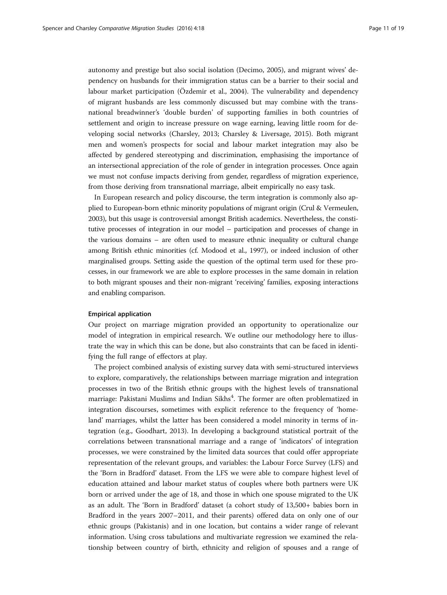autonomy and prestige but also social isolation (Decimo, [2005](#page-16-0)), and migrant wives' dependency on husbands for their immigration status can be a barrier to their social and labour market participation (Özdemir et al., [2004\)](#page-17-0). The vulnerability and dependency of migrant husbands are less commonly discussed but may combine with the transnational breadwinner's 'double burden' of supporting families in both countries of settlement and origin to increase pressure on wage earning, leaving little room for developing social networks (Charsley, [2013](#page-16-0); Charsley & Liversage, [2015\)](#page-16-0). Both migrant men and women's prospects for social and labour market integration may also be affected by gendered stereotyping and discrimination, emphasising the importance of an intersectional appreciation of the role of gender in integration processes. Once again we must not confuse impacts deriving from gender, regardless of migration experience, from those deriving from transnational marriage, albeit empirically no easy task.

In European research and policy discourse, the term integration is commonly also applied to European-born ethnic minority populations of migrant origin (Crul & Vermeulen, [2003\)](#page-16-0), but this usage is controversial amongst British academics. Nevertheless, the constitutive processes of integration in our model – participation and processes of change in the various domains – are often used to measure ethnic inequality or cultural change among British ethnic minorities (cf. Modood et al., [1997\)](#page-17-0), or indeed inclusion of other marginalised groups. Setting aside the question of the optimal term used for these processes, in our framework we are able to explore processes in the same domain in relation to both migrant spouses and their non-migrant 'receiving' families, exposing interactions and enabling comparison.

#### Empirical application

Our project on marriage migration provided an opportunity to operationalize our model of integration in empirical research. We outline our methodology here to illustrate the way in which this can be done, but also constraints that can be faced in identifying the full range of effectors at play.

The project combined analysis of existing survey data with semi-structured interviews to explore, comparatively, the relationships between marriage migration and integration processes in two of the British ethnic groups with the highest levels of transnational marriage: Pakistani Muslims and Indian Sikhs<sup>4</sup>. The former are often problematized in integration discourses, sometimes with explicit reference to the frequency of 'homeland' marriages, whilst the latter has been considered a model minority in terms of integration (e.g., Goodhart, [2013\)](#page-17-0). In developing a background statistical portrait of the correlations between transnational marriage and a range of 'indicators' of integration processes, we were constrained by the limited data sources that could offer appropriate representation of the relevant groups, and variables: the Labour Force Survey (LFS) and the 'Born in Bradford' dataset. From the LFS we were able to compare highest level of education attained and labour market status of couples where both partners were UK born or arrived under the age of 18, and those in which one spouse migrated to the UK as an adult. The 'Born in Bradford' dataset (a cohort study of 13,500+ babies born in Bradford in the years 2007–2011, and their parents) offered data on only one of our ethnic groups (Pakistanis) and in one location, but contains a wider range of relevant information. Using cross tabulations and multivariate regression we examined the relationship between country of birth, ethnicity and religion of spouses and a range of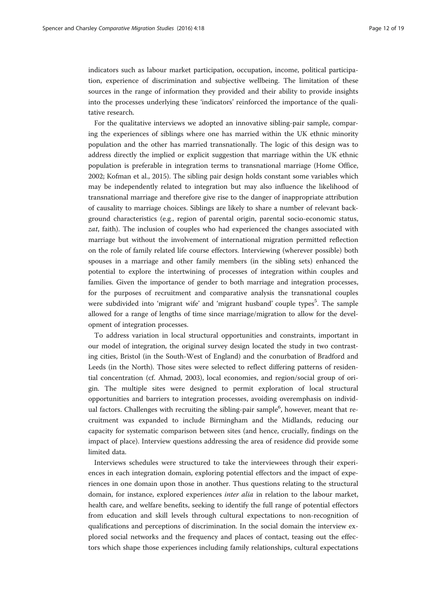indicators such as labour market participation, occupation, income, political participation, experience of discrimination and subjective wellbeing. The limitation of these sources in the range of information they provided and their ability to provide insights into the processes underlying these 'indicators' reinforced the importance of the qualitative research.

For the qualitative interviews we adopted an innovative sibling-pair sample, comparing the experiences of siblings where one has married within the UK ethnic minority population and the other has married transnationally. The logic of this design was to address directly the implied or explicit suggestion that marriage within the UK ethnic population is preferable in integration terms to transnational marriage (Home Office, [2002](#page-17-0); Kofman et al., [2015](#page-17-0)). The sibling pair design holds constant some variables which may be independently related to integration but may also influence the likelihood of transnational marriage and therefore give rise to the danger of inappropriate attribution of causality to marriage choices. Siblings are likely to share a number of relevant background characteristics (e.g., region of parental origin, parental socio-economic status, zat, faith). The inclusion of couples who had experienced the changes associated with marriage but without the involvement of international migration permitted reflection on the role of family related life course effectors. Interviewing (wherever possible) both spouses in a marriage and other family members (in the sibling sets) enhanced the potential to explore the intertwining of processes of integration within couples and families. Given the importance of gender to both marriage and integration processes, for the purposes of recruitment and comparative analysis the transnational couples were subdivided into 'migrant wife' and 'migrant husband' couple types<sup>5</sup>. The sample allowed for a range of lengths of time since marriage/migration to allow for the development of integration processes.

To address variation in local structural opportunities and constraints, important in our model of integration, the original survey design located the study in two contrasting cities, Bristol (in the South-West of England) and the conurbation of Bradford and Leeds (in the North). Those sites were selected to reflect differing patterns of residential concentration (cf. Ahmad, [2003\)](#page-16-0), local economies, and region/social group of origin. The multiple sites were designed to permit exploration of local structural opportunities and barriers to integration processes, avoiding overemphasis on individual factors. Challenges with recruiting the sibling-pair sample $\rm^6$ , however, meant that recruitment was expanded to include Birmingham and the Midlands, reducing our capacity for systematic comparison between sites (and hence, crucially, findings on the impact of place). Interview questions addressing the area of residence did provide some limited data.

Interviews schedules were structured to take the interviewees through their experiences in each integration domain, exploring potential effectors and the impact of experiences in one domain upon those in another. Thus questions relating to the structural domain, for instance, explored experiences inter alia in relation to the labour market, health care, and welfare benefits, seeking to identify the full range of potential effectors from education and skill levels through cultural expectations to non-recognition of qualifications and perceptions of discrimination. In the social domain the interview explored social networks and the frequency and places of contact, teasing out the effectors which shape those experiences including family relationships, cultural expectations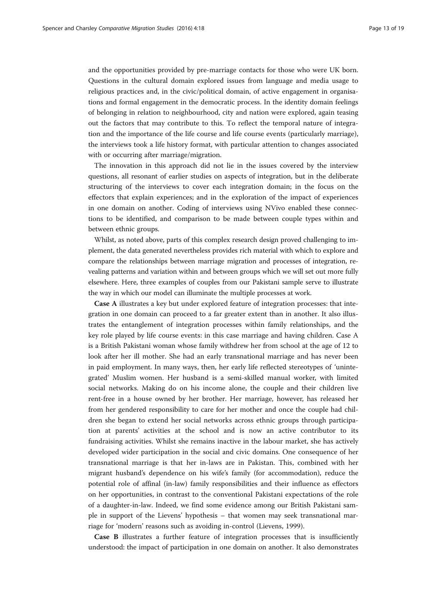and the opportunities provided by pre-marriage contacts for those who were UK born. Questions in the cultural domain explored issues from language and media usage to religious practices and, in the civic/political domain, of active engagement in organisations and formal engagement in the democratic process. In the identity domain feelings of belonging in relation to neighbourhood, city and nation were explored, again teasing out the factors that may contribute to this. To reflect the temporal nature of integration and the importance of the life course and life course events (particularly marriage), the interviews took a life history format, with particular attention to changes associated with or occurring after marriage/migration.

The innovation in this approach did not lie in the issues covered by the interview questions, all resonant of earlier studies on aspects of integration, but in the deliberate structuring of the interviews to cover each integration domain; in the focus on the effectors that explain experiences; and in the exploration of the impact of experiences in one domain on another. Coding of interviews using NVivo enabled these connections to be identified, and comparison to be made between couple types within and between ethnic groups.

Whilst, as noted above, parts of this complex research design proved challenging to implement, the data generated nevertheless provides rich material with which to explore and compare the relationships between marriage migration and processes of integration, revealing patterns and variation within and between groups which we will set out more fully elsewhere. Here, three examples of couples from our Pakistani sample serve to illustrate the way in which our model can illuminate the multiple processes at work.

Case A illustrates a key but under explored feature of integration processes: that integration in one domain can proceed to a far greater extent than in another. It also illustrates the entanglement of integration processes within family relationships, and the key role played by life course events: in this case marriage and having children. Case A is a British Pakistani woman whose family withdrew her from school at the age of 12 to look after her ill mother. She had an early transnational marriage and has never been in paid employment. In many ways, then, her early life reflected stereotypes of 'unintegrated' Muslim women. Her husband is a semi-skilled manual worker, with limited social networks. Making do on his income alone, the couple and their children live rent-free in a house owned by her brother. Her marriage, however, has released her from her gendered responsibility to care for her mother and once the couple had children she began to extend her social networks across ethnic groups through participation at parents' activities at the school and is now an active contributor to its fundraising activities. Whilst she remains inactive in the labour market, she has actively developed wider participation in the social and civic domains. One consequence of her transnational marriage is that her in-laws are in Pakistan. This, combined with her migrant husband's dependence on his wife's family (for accommodation), reduce the potential role of affinal (in-law) family responsibilities and their influence as effectors on her opportunities, in contrast to the conventional Pakistani expectations of the role of a daughter-in-law. Indeed, we find some evidence among our British Pakistani sample in support of the Lievens' hypothesis – that women may seek transnational marriage for 'modern' reasons such as avoiding in-control (Lievens, [1999\)](#page-17-0).

Case B illustrates a further feature of integration processes that is insufficiently understood: the impact of participation in one domain on another. It also demonstrates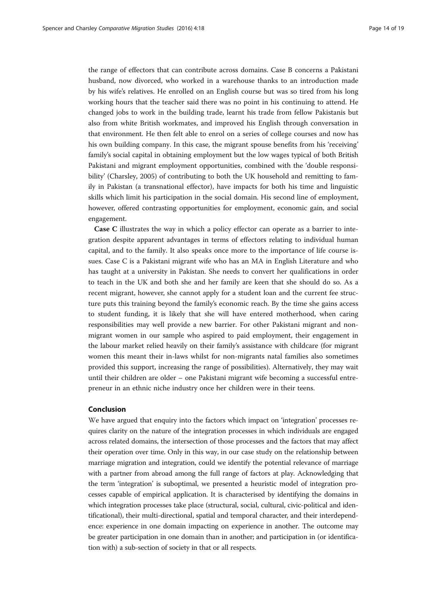the range of effectors that can contribute across domains. Case B concerns a Pakistani husband, now divorced, who worked in a warehouse thanks to an introduction made by his wife's relatives. He enrolled on an English course but was so tired from his long working hours that the teacher said there was no point in his continuing to attend. He changed jobs to work in the building trade, learnt his trade from fellow Pakistanis but also from white British workmates, and improved his English through conversation in that environment. He then felt able to enrol on a series of college courses and now has his own building company. In this case, the migrant spouse benefits from his 'receiving' family's social capital in obtaining employment but the low wages typical of both British Pakistani and migrant employment opportunities, combined with the 'double responsibility' (Charsley, [2005](#page-16-0)) of contributing to both the UK household and remitting to family in Pakistan (a transnational effector), have impacts for both his time and linguistic skills which limit his participation in the social domain. His second line of employment, however, offered contrasting opportunities for employment, economic gain, and social engagement.

Case C illustrates the way in which a policy effector can operate as a barrier to integration despite apparent advantages in terms of effectors relating to individual human capital, and to the family. It also speaks once more to the importance of life course issues. Case C is a Pakistani migrant wife who has an MA in English Literature and who has taught at a university in Pakistan. She needs to convert her qualifications in order to teach in the UK and both she and her family are keen that she should do so. As a recent migrant, however, she cannot apply for a student loan and the current fee structure puts this training beyond the family's economic reach. By the time she gains access to student funding, it is likely that she will have entered motherhood, when caring responsibilities may well provide a new barrier. For other Pakistani migrant and nonmigrant women in our sample who aspired to paid employment, their engagement in the labour market relied heavily on their family's assistance with childcare (for migrant women this meant their in-laws whilst for non-migrants natal families also sometimes provided this support, increasing the range of possibilities). Alternatively, they may wait until their children are older – one Pakistani migrant wife becoming a successful entrepreneur in an ethnic niche industry once her children were in their teens.

## Conclusion

We have argued that enquiry into the factors which impact on 'integration' processes requires clarity on the nature of the integration processes in which individuals are engaged across related domains, the intersection of those processes and the factors that may affect their operation over time. Only in this way, in our case study on the relationship between marriage migration and integration, could we identify the potential relevance of marriage with a partner from abroad among the full range of factors at play. Acknowledging that the term 'integration' is suboptimal, we presented a heuristic model of integration processes capable of empirical application. It is characterised by identifying the domains in which integration processes take place (structural, social, cultural, civic-political and identificational), their multi-directional, spatial and temporal character, and their interdependence: experience in one domain impacting on experience in another. The outcome may be greater participation in one domain than in another; and participation in (or identification with) a sub-section of society in that or all respects.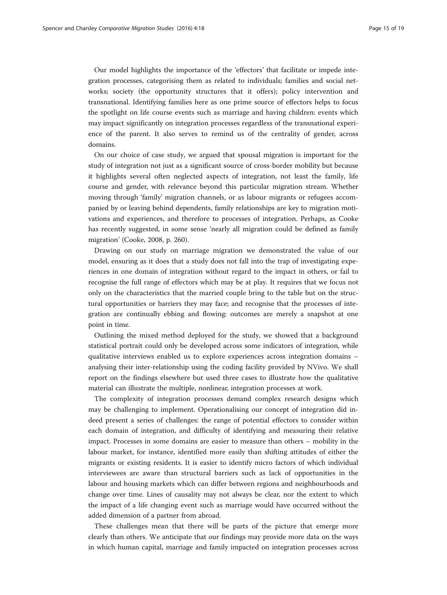Our model highlights the importance of the 'effectors' that facilitate or impede integration processes, categorising them as related to individuals; families and social networks; society (the opportunity structures that it offers); policy intervention and transnational. Identifying families here as one prime source of effectors helps to focus the spotlight on life course events such as marriage and having children: events which may impact significantly on integration processes regardless of the transnational experience of the parent. It also serves to remind us of the centrality of gender, across domains.

On our choice of case study, we argued that spousal migration is important for the study of integration not just as a significant source of cross-border mobility but because it highlights several often neglected aspects of integration, not least the family, life course and gender, with relevance beyond this particular migration stream. Whether moving through 'family' migration channels, or as labour migrants or refugees accompanied by or leaving behind dependents, family relationships are key to migration motivations and experiences, and therefore to processes of integration. Perhaps, as Cooke has recently suggested, in some sense 'nearly all migration could be defined as family migration' (Cooke, [2008](#page-16-0), p. 260).

Drawing on our study on marriage migration we demonstrated the value of our model, ensuring as it does that a study does not fall into the trap of investigating experiences in one domain of integration without regard to the impact in others, or fail to recognise the full range of effectors which may be at play. It requires that we focus not only on the characteristics that the married couple bring to the table but on the structural opportunities or barriers they may face; and recognise that the processes of integration are continually ebbing and flowing: outcomes are merely a snapshot at one point in time.

Outlining the mixed method deployed for the study, we showed that a background statistical portrait could only be developed across some indicators of integration, while qualitative interviews enabled us to explore experiences across integration domains – analysing their inter-relationship using the coding facility provided by NVivo. We shall report on the findings elsewhere but used three cases to illustrate how the qualitative material can illustrate the multiple, nonlinear, integration processes at work.

The complexity of integration processes demand complex research designs which may be challenging to implement. Operationalising our concept of integration did indeed present a series of challenges: the range of potential effectors to consider within each domain of integration, and difficulty of identifying and measuring their relative impact. Processes in some domains are easier to measure than others – mobility in the labour market, for instance, identified more easily than shifting attitudes of either the migrants or existing residents. It is easier to identify micro factors of which individual interviewees are aware than structural barriers such as lack of opportunities in the labour and housing markets which can differ between regions and neighbourhoods and change over time. Lines of causality may not always be clear, nor the extent to which the impact of a life changing event such as marriage would have occurred without the added dimension of a partner from abroad.

These challenges mean that there will be parts of the picture that emerge more clearly than others. We anticipate that our findings may provide more data on the ways in which human capital, marriage and family impacted on integration processes across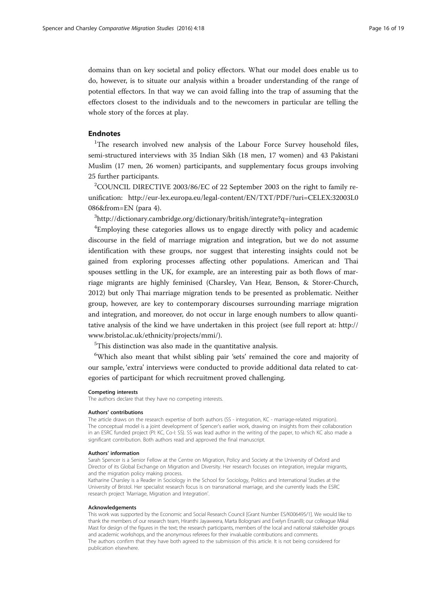domains than on key societal and policy effectors. What our model does enable us to do, however, is to situate our analysis within a broader understanding of the range of potential effectors. In that way we can avoid falling into the trap of assuming that the effectors closest to the individuals and to the newcomers in particular are telling the whole story of the forces at play.

## Endnotes

<sup>1</sup>The research involved new analysis of the Labour Force Survey household files, semi-structured interviews with 35 Indian Sikh (18 men, 17 women) and 43 Pakistani Muslim (17 men, 26 women) participants, and supplementary focus groups involving 25 further participants.

<sup>2</sup>COUNCIL DIRECTIVE 2003/86/EC of 22 September 2003 on the right to family reunification: [http://eur-lex.europa.eu/legal-content/EN/TXT/PDF/?uri=CELEX:32003L0](http://eur-lex.europa.eu/legal-content/EN/TXT/PDF/?uri=CELEX:32003L0086&from=EN) [086&from=EN](http://eur-lex.europa.eu/legal-content/EN/TXT/PDF/?uri=CELEX:32003L0086&from=EN) (para 4).

3 <http://dictionary.cambridge.org/dictionary/british/integrate?q=integration>

<sup>4</sup>Employing these categories allows us to engage directly with policy and academic discourse in the field of marriage migration and integration, but we do not assume identification with these groups, nor suggest that interesting insights could not be gained from exploring processes affecting other populations. American and Thai spouses settling in the UK, for example, are an interesting pair as both flows of marriage migrants are highly feminised (Charsley, Van Hear, Benson, & Storer-Church, [2012](#page-16-0)) but only Thai marriage migration tends to be presented as problematic. Neither group, however, are key to contemporary discourses surrounding marriage migration and integration, and moreover, do not occur in large enough numbers to allow quantitative analysis of the kind we have undertaken in this project (see full report at: [http://](http://www.bristol.ac.uk/ethnicity/projects/mmi/) [www.bristol.ac.uk/ethnicity/projects/mmi/\)](http://www.bristol.ac.uk/ethnicity/projects/mmi/).

<sup>5</sup>This distinction was also made in the quantitative analysis.

<sup>6</sup>Which also meant that whilst sibling pair 'sets' remained the core and majority of our sample, 'extra' interviews were conducted to provide additional data related to categories of participant for which recruitment proved challenging.

#### Competing interests

The authors declare that they have no competing interests.

#### Authors' contributions

The article draws on the research expertise of both authors (SS - integration, KC - marriage-related migration). The conceptual model is a joint development of Spencer's earlier work, drawing on insights from their collaboration in an ESRC funded project (PI: KC, Co-I: SS). SS was lead author in the writing of the paper, to which KC also made a significant contribution. Both authors read and approved the final manuscript.

#### Authors' information

Sarah Spencer is a Senior Fellow at the Centre on Migration, Policy and Society at the University of Oxford and Director of its Global Exchange on Migration and Diversity. Her research focuses on integration, irregular migrants, and the migration policy making process.

Katharine Charsley is a Reader in Sociology in the School for Sociology, Politics and International Studies at the University of Bristol. Her specialist research focus is on transnational marriage, and she currently leads the ESRC research project 'Marriage, Migration and Integration'.

#### Acknowledgements

This work was supported by the Economic and Social Research Council [Grant Number ES/K006495/1]. We would like to thank the members of our research team, Hiranthi Jayaweera, Marta Bolognani and Evelyn Ersanilli; our colleague Mikal Mast for design of the figures in the text; the research participants, members of the local and national stakeholder groups and academic workshops, and the anonymous referees for their invaluable contributions and comments. The authors confirm that they have both agreed to the submission of this article. It is not being considered for publication elsewhere.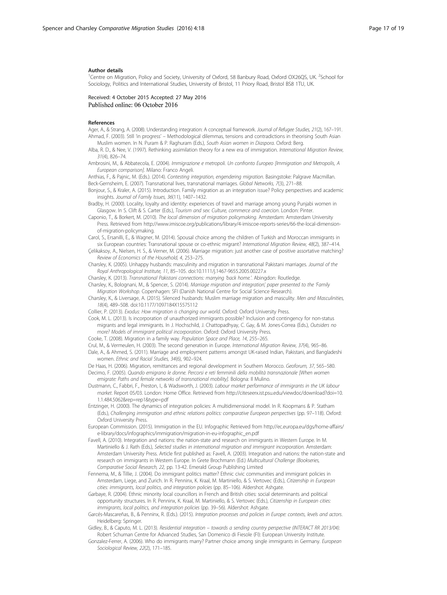#### <span id="page-16-0"></span>Author details

<sup>1</sup>Centre on Migration, Policy and Society, University of Oxford, 58 Banbury Road, Oxford OX26QS, UK. <sup>2</sup>School for Sociology, Politics and International Studies, University of Bristol, 11 Priory Road, Bristol BS8 1TU, UK.

Received: 4 October 2015 Accepted: 27 May 2016 Published online: 06 October 2016

#### References

Ager, A., & Strang, A. (2008). Understanding integration: A conceptual framework. Journal of Refugee Studies, 21(2), 167–191. Ahmad, F. (2003). Still 'in progress' – Methodological dilemmas, tensions and contradictions in theorising South Asian Muslim women. In N. Puram & P. Raghuram (Eds.), South Asian women in Diaspora. Oxford: Berg.

Alba, R. D., & Nee, V. (1997). Rethinking assimilation theory for a new era of immigration. International Migration Review, 31(4), 826–74.

Ambrosini, M., & Abbatecola, E. (2004). Immigrazione e metropoli. Un confronto Europeo [Immigration and Metropolis, A European comparison]. Milano: Franco Angeli.

Anthias, F., & Pajnic, M. (Eds.). (2014). Contesting integration, engendering migration. Basingstoke: Palgrave Macmillan. Beck-Gernsheim, E. (2007). Transnational lives, transnational marriages. Global Networks, 7(3), 271–88.

Bonjour, S., & Kraler, A. (2015). Introduction. Family migration as an integration issue? Policy perspectives and academic insights. Journal of Family Issues, 36(11), 1407–1432.

Bradby, H. (2000). Locality, loyalty and identity: experiences of travel and marriage among young Punjabi women in Glasgow. In S. Clift & S. Carter (Eds.), Tourism and sex: Culture, commerce and coercion. London: Pinter.

Caponio, T., & Borkert, M. (2010). The local dimension of migration policymaking. Amsterdam: Amsterdam University Press. Retrieved from [http://www.imiscoe.org/publications/library/4-imiscoe-reports-series/66-the-local-dimension](http://www.imiscoe.org/publications/library/4-imiscoe-reports-series/66-the-local-dimension-of-migration-policymaking)[of-migration-policymaking.](http://www.imiscoe.org/publications/library/4-imiscoe-reports-series/66-the-local-dimension-of-migration-policymaking)

Carol, S., Ersanilli, E., & Wagner, M. (2014). Spousal choice among the children of Turkish and Moroccan immigrants in six European countries: Transnational spouse or co-ethnic migrant? International Migration Review, 48(2), 387–414.

Çelikaksoy, A., Nielsen, H. S., & Verner, M. (2006). Marriage migration: just another case of positive assortative matching? Review of Economics of the Household, 4, 253–275.

Charsley, K. (2005). Unhappy husbands: masculinity and migration in transnational Pakistani marriages. Journal of the Royal Anthropological Institute, 11, 85–105. doi[:10.1111/j.1467-9655.2005.00227.x](http://dx.doi.org/10.1111/j.1467-9655.2005.00227.x)

Charsley, K. (2013). Transnational Pakistani connections: marrying 'back home.'. Abingdon: Routledge. Charsley, K., Bolognani, M., & Spencer, S. (2014). Marriage migration and integration', paper presented to the 'Family

Migration Workshop. Copenhagen: SFI (Danish National Centre for Social Science Research).

Charsley, K., & Liversage, A. (2015). Silenced husbands: Muslim marriage migration and masculity. Men and Masculinities, 18(4), 489–508. doi[:10.1177/1097184X15575112](http://dx.doi.org/10.1177/1097184X15575112)

Collier, P. (2013). Exodus: How migration is changing our world. Oxford: Oxford University Press.

Cook, M. L. (2013). Is incorporation of unauthorized immigrants possible? Inclusion and contingency for non-status migrants and legal immigrants. In J. Hochschild, J. Chattopadhyay, C. Gay, & M. Jones-Correa (Eds.), Outsiders no more? Models of immigrant political incorporation. Oxford: Oxford University Press.

Cooke, T. (2008). Migration in a family way. Population Space and Place, 14, 255–265.

Crul, M., & Vermeulen, H. (2003). The second generation in Europe. International Migration Review, 37(4), 965–86.

Dale, A., & Ahmed, S. (2011). Marriage and employment patterns amongst UK-raised Indian, Pakistani, and Bangladeshi women. Ethnic and Racial Studies, 34(6), 902–924.

De Haas, H. (2006). Migration, remittances and regional development in Southern Morocco. Geoforum, 37, 565–580. Decimo, F. (2005). Quando emigrano le donne. Percorsi e reti femminili della mobilità transnazionale [When women

emigrate: Paths and female networks of transnational mobility]. Bologna: Il Mulino.

Dustmann, C., Fabbri, F., Preston, I., & Wadsworth, J. (2003). Labour market performance of immigrants in the UK labour market. Report 05/03. London: Home Office. Retrieved from [http://citeseerx.ist.psu.edu/viewdoc/download?doi=10.](http://citeseerx.ist.psu.edu/viewdoc/download?doi=10.1.1.484.5062&rep=rep1&type=pdf) [1.1.484.5062&rep=rep1&type=pdf](http://citeseerx.ist.psu.edu/viewdoc/download?doi=10.1.1.484.5062&rep=rep1&type=pdf)

Entzinger, H. (2000). The dynamics of integration policies: A multidimensional model. In R. Koopmans & P. Statham (Eds.), Challenging immigration and ethnic relations politics: comparative European perspectives (pp. 97–118). Oxford: Oxford University Press.

European Commission. (2015). Immigration in the EU. Infographic Retrieved from [http://ec.europa.eu/dgs/home-affairs/](http://ec.europa.eu/dgs/home-affairs/e-library/docs/infographics/immigration/migration-in-eu-infographic_en.pdf) [e-library/docs/infographics/immigration/migration-in-eu-infographic\\_en.pdf](http://ec.europa.eu/dgs/home-affairs/e-library/docs/infographics/immigration/migration-in-eu-infographic_en.pdf)

Favell, A. (2010). Integration and nations: the nation-state and research on immigrants in Western Europe. In M. Martiniello & J. Rath (Eds.), Selected studies in international migration and immigrant incorporation. Amsterdam: Amsterdam University Press. Article first published as: Favell, A. (2003). Integration and nations: the nation-state and research on immigrants in Western Europe. In Grete Brochmann (Ed.) Multicultural Challenge (Bookseries, Comparative Social Research, 22, pp. 13-42. Emerald Group Publishing Limited

Fennema, M., & Tillie, J. (2004). Do immigrant politics matter? Ethnic civic communities and immigrant policies in Amsterdam, Liege, and Zurich. In R. Penninx, K. Kraal, M. Martiniello, & S. Vertovec (Eds.), Citizenship in European cities: immigrants, local politics, and integration policies (pp. 85–106). Aldershot: Ashgate.

Garbaye, R. (2004). Ethnic minority local councillors in French and British cities: social determinants and political opportunity structures. In R. Penninx, K. Kraal, M. Martiniello, & S. Vertovec (Eds.), Citizenship in European cities: immigrants, local politics, and integration policies (pp. 39–56). Aldershot: Ashgate.

Garcés-Mascareñas, B., & Penninx, R. (Eds.). (2015). Integration processes and policies in Europe: contexts, levels and actors. Heidelberg: Springer.

Gidley, B., & Caputo, M. L. (2013). Residential integration – towards a sending country perspective (INTERACT RR 2013/04). Robert Schuman Centre for Advanced Studies, San Domenico di Fiesole (FI): European University Institute.

Gonzalez-Ferrer, A. (2006). Who do immigrants marry? Partner choice among single immigrants in Germany. European Sociological Review, 22(2), 171–185.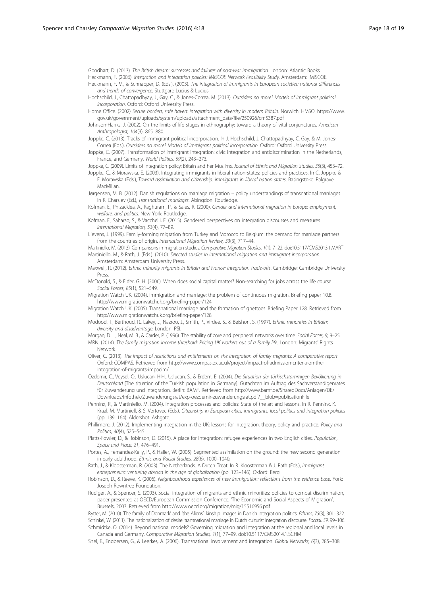<span id="page-17-0"></span>Goodhart, D. (2013). The British dream: successes and failures of post-war immigration. London: Atlantic Books. Heckmann, F. (2006). Integration and integration policies: IMISCOE Network Feasibility Study. Amsterdam: IMISCOE.

Heckmann, F. M., & Schnapper, D. (Eds.). (2003). The integration of immigrants in European societies: national differences and trends of convergence. Stuttgart: Lucius & Lucius.

Hochschild, J., Chattopadhyay, J., Gay, C., & Jones-Correa, M. (2013). Outsiders no more? Models of immigrant political incorporation. Oxford: Oxford University Press.

- Home Office. (2002) Secure borders, safe haven: integration with diversity in modern Britain. Norwich: HMSO. [https://www.](https://www.gov.uk/government/uploads/system/uploads/attachment_data/file/250926/cm5387.pdf) [gov.uk/government/uploads/system/uploads/attachment\\_data/file/250926/cm5387.pdf](https://www.gov.uk/government/uploads/system/uploads/attachment_data/file/250926/cm5387.pdf)
- Johnson-Hanks, J. (2002). On the limits of life stages in ethnography: toward a theory of vital conjunctures. American Anthropologist, 104(3), 865–880.
- Joppke, C. (2013). Tracks of immigrant political incorporation. In J. Hochschild, J. Chattopadhyay, C. Gay, & M. Jones-Correa (Eds.), Outsiders no more? Models of immigrant political incorporation. Oxford: Oxford University Press.
- Joppke, C. (2007). Transformation of immigrant integration: civic integration and antidiscrimination in the Netherlands, France, and Germany. World Politics, 59(2), 243–273.

Joppke, C. (2009). Limits of integration policy: Britain and her Muslims. Journal of Ethnic and Migration Studies, 35(3), 453-72.

- Joppke, C., & Morawska, E. (2003). Integrating immigrants in liberal nation-states: policies and practices. In C. Joppke & E. Morawska (Eds.), Toward assimilation and citizenship: immigrants in liberal nation states. Basingstoke: Palgrave MacMillan.
- Jørgensen, M. B. (2012). Danish regulations on marriage migration policy understandings of transnational marriages. In K. Charsley (Ed.), Transnational marriages. Abingdon: Routledge.
- Kofman, E., Phizacklea, A., Raghuram, P., & Sales, R. (2000). Gender and international migration in Europe: employment, welfare, and politics. New York: Routledge.
- Kofman, E., Saharso, S., & Vacchelli, E. (2015). Gendered perspectives on integration discourses and measures. International Migration, 53(4), 77–89.
- Lievens, J. (1999). Family-forming migration from Turkey and Morocco to Belgium: the demand for marriage partners from the countries of origin. International Migration Review, 33(3), 717–44.
- Martiniello, M. (2013). Comparisons in migration studies. Comparative Migration Studies, 1(1), 7–22. doi[:10.5117/CMS2013.1.MART](http://dx.doi.org/10.5117/CMS2013.1.MART) Martiniello, M., & Rath, J. (Eds.). (2010). Selected studies in international migration and immigrant incorporation. Amsterdam: Amsterdam University Press.
- Maxwell, R. (2012). Ethnic minority migrants in Britain and France: integration trade-offs. Cambridge: Cambridge University Press.
- McDonald, S., & Elder, G. H. (2006). When does social capital matter? Non-searching for jobs across the life course. Social Forces, 85(1), 521–549.
- Migration Watch UK. (2004). Immigration and marriage: the problem of continuous migration. Briefing paper 10.8. <http://www.migrationwatchuk.org/briefing-paper/124>
- Migration Watch UK. (2005). Transnational marriage and the formation of ghettoes. Briefing Paper 128. Retrieved from <http://www.migrationwatchuk.org/briefing-paper/128>
- Modood, T., Berthoud, R., Lakey, J., Nazroo, J., Smith, P., Virdee, S., & Beishon, S. (1997). Ethnic minorities in Britain: diversity and disadvantage. London: PSI.
- Morgan, D. L., Neal, M. B., & Carder, P. (1996). The stability of core and peripheral networks over time. Social Forces, 9, 9–25. MRN. (2014). The family migration income threshold: Pricing UK workers out of a family life. London: Migrants' Rights Network.
- Oliver, C. (2013). The impact of restrictions and entitlements on the integration of family migrants: A comparative report. Oxford: COMPAS. Retrieved from [http://www.compas.ox.ac.uk/project/impact-of-admission-criteria-on-the](http://www.compas.ox.ac.uk/project/impact-of-admission-criteria-on-the-integration-of-migrants-impacim/)[integration-of-migrants-impacim/](http://www.compas.ox.ac.uk/project/impact-of-admission-criteria-on-the-integration-of-migrants-impacim/)
- Özdemir, C., Veysel, Ö., Uslucan, H.H., Uslucan, S., & Erdem, E. (2004). Die Situation der türkischstämmigen Bevölkerung in Deutschland [The situation of the Turkish population in Germany]. Gutachten im Auftrag des Sachverständigenrates für Zuwanderung und Integration. Berlin: BAMF. Retrieved from [http://www.bamf.de/SharedDocs/Anlagen/DE/](http://www.bamf.de/SharedDocs/Anlagen/DE/Downloads/Infothek/Zuwanderungsrat/exp-oezdemir-zuwanderungsrat.pdf?__blob=publicationFile) [Downloads/Infothek/Zuwanderungsrat/exp-oezdemir-zuwanderungsrat.pdf?\\_\\_blob=publicationFile](http://www.bamf.de/SharedDocs/Anlagen/DE/Downloads/Infothek/Zuwanderungsrat/exp-oezdemir-zuwanderungsrat.pdf?__blob=publicationFile)
- Penninx, R., & Martiniello, M. (2004). Integration processes and policies: State of the art and lessons. In R. Penninx, K. Kraal, M. Martiniell, & S. Vertovec (Eds.), Citizenship in European cities: immigrants, local politics and integration policies (pp. 139–164). Aldershot: Ashgate.
- Phillimore, J. (2012). Implementing integration in the UK: lessons for integration, theory, policy and practice. Policy and Politics, 40(4), 525–545.
- Platts-Fowler, D., & Robinson, D. (2015). A place for integration: refugee experiences in two English cities. Population, Space and Place, 21, 476–491.
- Portes, A., Fernandez-Kelly, P., & Haller, W. (2005). Segmented assimilation on the ground: the new second generation in early adulthood. Ethnic and Racial Studies, 28(6), 1000–1040.
- Rath, J., & Kloosterman, R. (2003). The Netherlands. A Dutch Treat. In R. Kloosterman & J. Rath (Eds.), Immigrant entrepreneurs: venturing abroad in the age of globalization (pp. 123–146). Oxford: Berg.
- Robinson, D., & Reeve, K. (2006). Neighbourhood experiences of new immigration: reflections from the evidence base. York: Joseph Rowntree Foundation.
- Rudiger, A., & Spencer, S. (2003). Social integration of migrants and ethnic minorities: policies to combat discrimination, paper presented at OECD/European Commission Conference, 'The Economic and Social Aspects of Migration', Brussels, 2003. Retrieved from<http://www.oecd.org/migration/mig/15516956.pdf>

Rytter, M. (2010). The family of Denmark' and 'the Aliens': kinship images in Danish integration politics. Ethnos, 75(3), 301–322. Schinkel, W. (2011). The nationalization of desire: transnational marriage in Dutch culturist integration discourse. Focaal, 59, 99–106. Schmidtke, O. (2014). Beyond national models? Governing migration and integration at the regional and local levels in Canada and Germany. Comparative Migration Studies, 1(1), 77–99. doi:[10.5117/CMS2014.1.SCHM](http://dx.doi.org/10.5117/CMS2014.1.SCHM)

Snel, E., Engbersen, G., & Leerkes, A. (2006). Transnational involvement and integration. Global Networks, 6(3), 285–308.